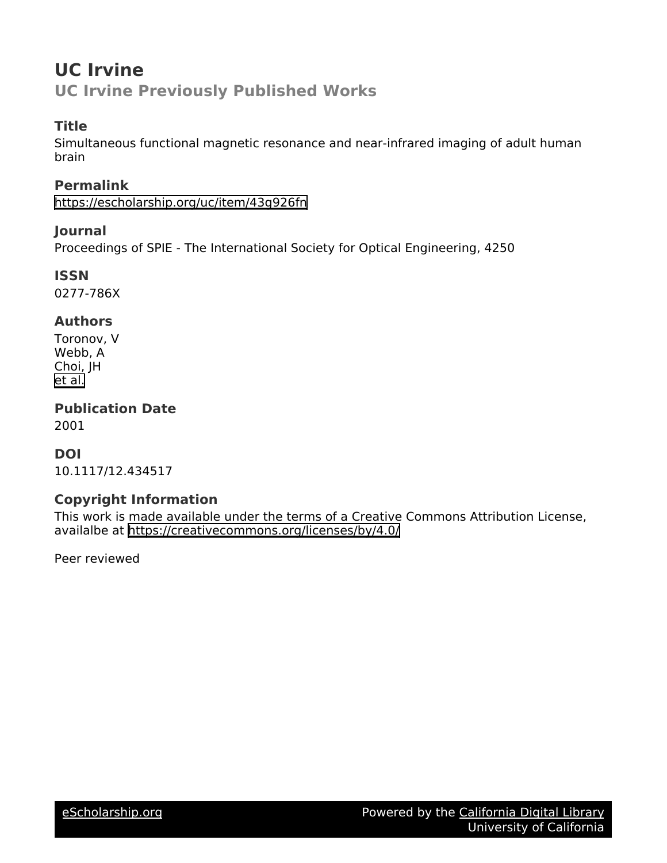# **UC Irvine UC Irvine Previously Published Works**

### **Title**

Simultaneous functional magnetic resonance and near-infrared imaging of adult human brain

**Permalink** <https://escholarship.org/uc/item/43g926fn>

### **Journal**

Proceedings of SPIE - The International Society for Optical Engineering, 4250

**ISSN** 0277-786X

### **Authors**

Toronov, V Webb, A Choi, JH [et al.](https://escholarship.org/uc/item/43g926fn#author)

**Publication Date**

2001

### **DOI**

10.1117/12.434517

### **Copyright Information**

This work is made available under the terms of a Creative Commons Attribution License, availalbe at <https://creativecommons.org/licenses/by/4.0/>

Peer reviewed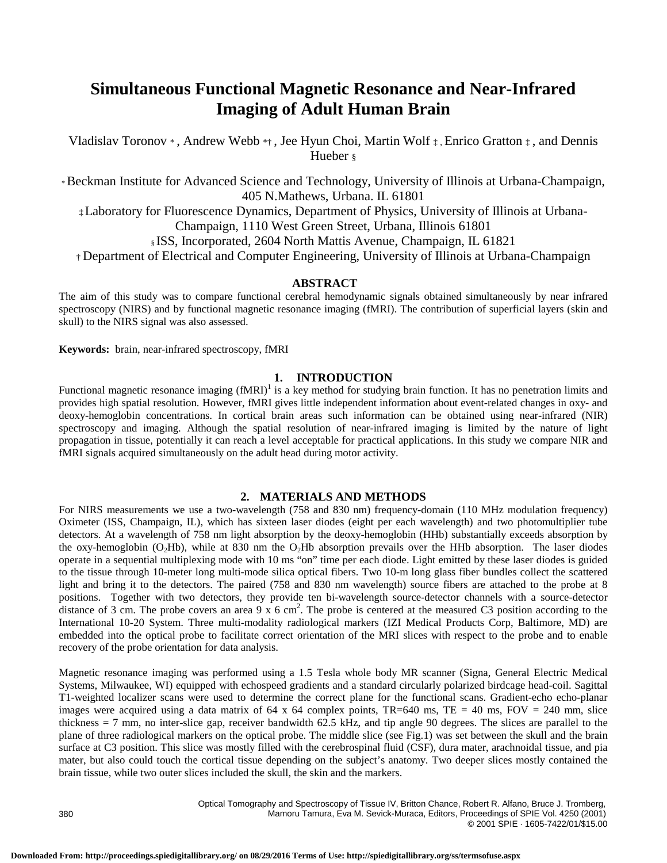## **Simultaneous Functional Magnetic Resonance and Near-Infrared Imaging of Adult Human Brain**

Vladislav Toronov \*, Andrew Webb \*†, Jee Hyun Choi, Martin Wolf  $\ddagger$ , Enrico Gratton  $\ddagger$ , and Dennis Hueber §

\* Beckman Institute for Advanced Science and Technology, University of Illinois at Urbana-Champaign, 405 N.Mathews, Urbana. IL 61801

‡Laboratory for Fluorescence Dynamics, Department of Physics, University of Illinois at Urbana-Champaign, 1110 West Green Street, Urbana, Illinois 61801

§ ISS, Incorporated, 2604 North Mattis Avenue, Champaign, IL 61821

† Department of Electrical and Computer Engineering, University of Illinois at Urbana-Champaign

#### **ABSTRACT**

The aim of this study was to compare functional cerebral hemodynamic signals obtained simultaneously by near infrared spectroscopy (NIRS) and by functional magnetic resonance imaging (fMRI). The contribution of superficial layers (skin and skull) to the NIRS signal was also assessed.

**Keywords:** brain, near-infrared spectroscopy, fMRI

#### **1. INTRODUCTION**

Functional magnetic resonance imaging  $(fMRI)^1$  is a key method for studying brain function. It has no penetration limits and provides high spatial resolution. However, fMRI gives little independent information about event-related changes in oxy- and deoxy-hemoglobin concentrations. In cortical brain areas such information can be obtained using near-infrared (NIR) spectroscopy and imaging. Although the spatial resolution of near-infrared imaging is limited by the nature of light propagation in tissue, potentially it can reach a level acceptable for practical applications. In this study we compare NIR and fMRI signals acquired simultaneously on the adult head during motor activity.

#### **2. MATERIALS AND METHODS**

For NIRS measurements we use a two-wavelength (758 and 830 nm) frequency-domain (110 MHz modulation frequency) Oximeter (ISS, Champaign, IL), which has sixteen laser diodes (eight per each wavelength) and two photomultiplier tube detectors. At a wavelength of 758 nm light absorption by the deoxy-hemoglobin (HHb) substantially exceeds absorption by the oxy-hemoglobin (O<sub>2</sub>Hb), while at 830 nm the O<sub>2</sub>Hb absorption prevails over the HHb absorption. The laser diodes operate in a sequential multiplexing mode with 10 ms "on" time per each diode. Light emitted by these laser diodes is guided to the tissue through 10-meter long multi-mode silica optical fibers. Two 10-m long glass fiber bundles collect the scattered light and bring it to the detectors. The paired (758 and 830 nm wavelength) source fibers are attached to the probe at 8 positions. Together with two detectors, they provide ten bi-wavelength source-detector channels with a source-detector distance of 3 cm. The probe covers an area  $9 \times 6$  cm<sup>2</sup>. The probe is centered at the measured C3 position according to the International 10-20 System. Three multi-modality radiological markers (IZI Medical Products Corp, Baltimore, MD) are embedded into the optical probe to facilitate correct orientation of the MRI slices with respect to the probe and to enable recovery of the probe orientation for data analysis.

Magnetic resonance imaging was performed using a 1.5 Tesla whole body MR scanner (Signa, General Electric Medical Systems, Milwaukee, WI) equipped with echospeed gradients and a standard circularly polarized birdcage head-coil. Sagittal T1-weighted localizer scans were used to determine the correct plane for the functional scans. Gradient-echo echo-planar images were acquired using a data matrix of 64 x 64 complex points,  $TR=640$  ms,  $TE = 40$  ms,  $FOV = 240$  mm, slice thickness = 7 mm, no inter-slice gap, receiver bandwidth 62.5 kHz, and tip angle 90 degrees. The slices are parallel to the plane of three radiological markers on the optical probe. The middle slice (see Fig.1) was set between the skull and the brain surface at C3 position. This slice was mostly filled with the cerebrospinal fluid (CSF), dura mater, arachnoidal tissue, and pia mater, but also could touch the cortical tissue depending on the subject's anatomy. Two deeper slices mostly contained the brain tissue, while two outer slices included the skull, the skin and the markers.

Optical Tomography and Spectroscopy of Tissue IV, Britton Chance, Robert R. Alfano, Bruce J. Tromberg, Mamoru Tamura, Eva M. Sevick-Muraca, Editors, Proceedings of SPIE Vol. 4250 (2001) © 2001 SPIE · 1605-7422/01/\$15.00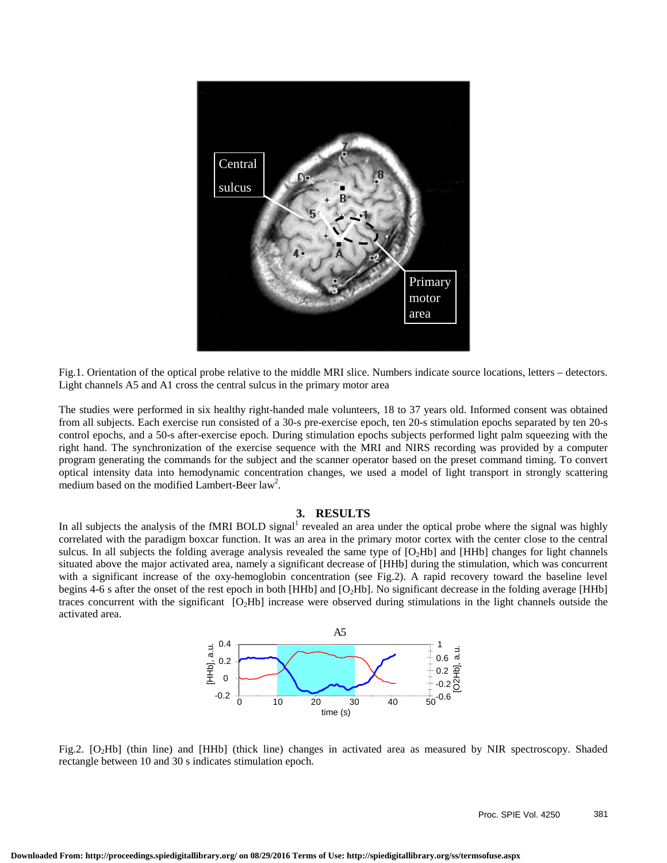

Fig.1. Orientation of the optical probe relative to the middle MRI slice. Numbers indicate source locations, letters – detectors. Light channels A5 and A1 cross the central sulcus in the primary motor area

The studies were performed in six healthy right-handed male volunteers, 18 to 37 years old. Informed consent was obtained from all subjects. Each exercise run consisted of a 30-s pre-exercise epoch, ten 20-s stimulation epochs separated by ten 20-s control epochs, and a 50-s after-exercise epoch. During stimulation epochs subjects performed light palm squeezing with the right hand. The synchronization of the exercise sequence with the MRI and NIRS recording was provided by a computer program generating the commands for the subject and the scanner operator based on the preset command timing. To convert optical intensity data into hemodynamic concentration changes, we used a model of light transport in strongly scattering medium based on the modified Lambert-Beer law<sup>2</sup>.

#### **3. RESULTS**

In all subjects the analysis of the fMRI BOLD signal<sup>1</sup> revealed an area under the optical probe where the signal was highly correlated with the paradigm boxcar function. It was an area in the primary motor cortex with the center close to the central sulcus. In all subjects the folding average analysis revealed the same type of  $[O_2Hb]$  and  $[HHb]$  changes for light channels situated above the major activated area, namely a significant decrease of [HHb] during the stimulation, which was concurrent with a significant increase of the oxy-hemoglobin concentration (see Fig.2). A rapid recovery toward the baseline level begins 4-6 s after the onset of the rest epoch in both [HHb] and [O<sub>2</sub>Hb]. No significant decrease in the folding average [HHb] traces concurrent with the significant  $[O_2Hb]$  increase were observed during stimulations in the light channels outside the activated area.



Fig.2. [O2Hb] (thin line) and [HHb] (thick line) changes in activated area as measured by NIR spectroscopy. Shaded rectangle between 10 and 30 s indicates stimulation epoch.